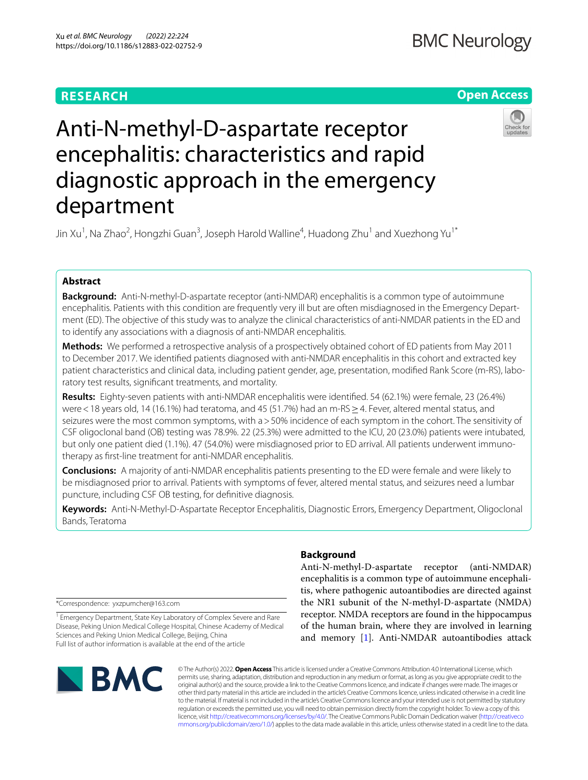# **RESEARCH**

# **Open Access**



# Anti-N-methyl-D-aspartate receptor encephalitis: characteristics and rapid diagnostic approach in the emergency department

Jin Xu<sup>1</sup>, Na Zhao<sup>2</sup>, Hongzhi Guan<sup>3</sup>, Joseph Harold Walline<sup>4</sup>, Huadong Zhu<sup>1</sup> and Xuezhong Yu<sup>1\*</sup>

## **Abstract**

**Background:** Anti-N-methyl-D-aspartate receptor (anti-NMDAR) encephalitis is a common type of autoimmune encephalitis. Patients with this condition are frequently very ill but are often misdiagnosed in the Emergency Department (ED). The objective of this study was to analyze the clinical characteristics of anti-NMDAR patients in the ED and to identify any associations with a diagnosis of anti-NMDAR encephalitis.

**Methods:** We performed a retrospective analysis of a prospectively obtained cohort of ED patients from May 2011 to December 2017. We identifed patients diagnosed with anti-NMDAR encephalitis in this cohort and extracted key patient characteristics and clinical data, including patient gender, age, presentation, modifed Rank Score (m-RS), laboratory test results, signifcant treatments, and mortality.

**Results:** Eighty-seven patients with anti-NMDAR encephalitis were identifed. 54 (62.1%) were female, 23 (26.4%) were < 18 years old, 14 (16.1%) had teratoma, and 45 (51.7%) had an m-RS ≥ 4. Fever, altered mental status, and seizures were the most common symptoms, with a>50% incidence of each symptom in the cohort. The sensitivity of CSF oligoclonal band (OB) testing was 78.9%. 22 (25.3%) were admitted to the ICU, 20 (23.0%) patients were intubated, but only one patient died (1.1%). 47 (54.0%) were misdiagnosed prior to ED arrival. All patients underwent immunotherapy as frst-line treatment for anti-NMDAR encephalitis.

**Conclusions:** A majority of anti-NMDAR encephalitis patients presenting to the ED were female and were likely to be misdiagnosed prior to arrival. Patients with symptoms of fever, altered mental status, and seizures need a lumbar puncture, including CSF OB testing, for defnitive diagnosis.

**Keywords:** Anti-N-Methyl-D-Aspartate Receptor Encephalitis, Diagnostic Errors, Emergency Department, Oligoclonal Bands, Teratoma

\*Correspondence: yxzpumcher@163.com

<sup>1</sup> Emergency Department, State Key Laboratory of Complex Severe and Rare Disease, Peking Union Medical College Hospital, Chinese Academy of Medical Sciences and Peking Union Medical College, Beijing, China Full list of author information is available at the end of the article

# **BMC**

### **Background**

Anti-N-methyl-D-aspartate receptor (anti-NMDAR) encephalitis is a common type of autoimmune encephalitis, where pathogenic autoantibodies are directed against the NR1 subunit of the N-methyl-D-aspartate (NMDA) receptor. NMDA receptors are found in the hippocampus of the human brain, where they are involved in learning and memory [\[1](#page-6-0)]. Anti-NMDAR autoantibodies attack

© The Author(s) 2022. **Open Access** This article is licensed under a Creative Commons Attribution 4.0 International License, which permits use, sharing, adaptation, distribution and reproduction in any medium or format, as long as you give appropriate credit to the original author(s) and the source, provide a link to the Creative Commons licence, and indicate if changes were made. The images or other third party material in this article are included in the article's Creative Commons licence, unless indicated otherwise in a credit line to the material. If material is not included in the article's Creative Commons licence and your intended use is not permitted by statutory regulation or exceeds the permitted use, you will need to obtain permission directly from the copyright holder. To view a copy of this licence, visit [http://creativecommons.org/licenses/by/4.0/.](http://creativecommons.org/licenses/by/4.0/) The Creative Commons Public Domain Dedication waiver ([http://creativeco](http://creativecommons.org/publicdomain/zero/1.0/) [mmons.org/publicdomain/zero/1.0/](http://creativecommons.org/publicdomain/zero/1.0/)) applies to the data made available in this article, unless otherwise stated in a credit line to the data.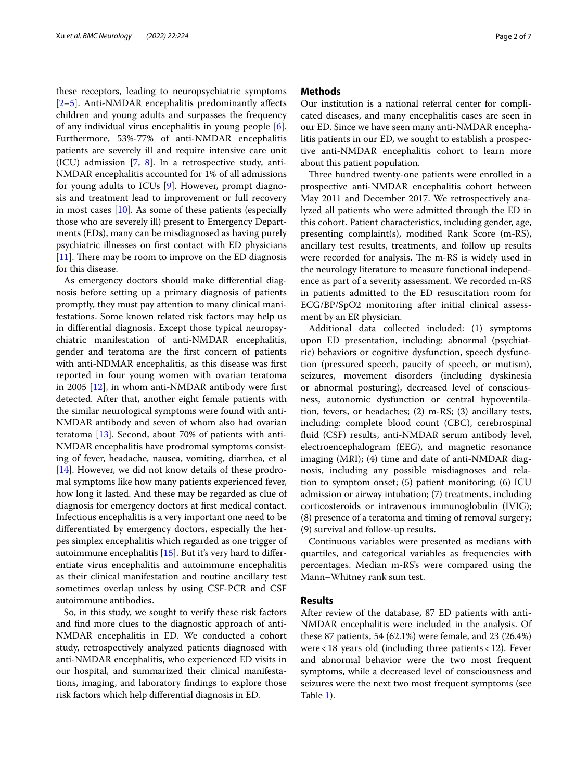these receptors, leading to neuropsychiatric symptoms [[2–](#page-6-1)[5\]](#page-6-2). Anti-NMDAR encephalitis predominantly afects children and young adults and surpasses the frequency of any individual virus encephalitis in young people [\[6](#page-6-3)]. Furthermore, 53%-77% of anti-NMDAR encephalitis patients are severely ill and require intensive care unit (ICU) admission  $[7, 8]$  $[7, 8]$  $[7, 8]$  $[7, 8]$ . In a retrospective study, anti-NMDAR encephalitis accounted for 1% of all admissions for young adults to ICUs [[9\]](#page-6-6). However, prompt diagnosis and treatment lead to improvement or full recovery in most cases [\[10](#page-6-7)]. As some of these patients (especially those who are severely ill) present to Emergency Departments (EDs), many can be misdiagnosed as having purely psychiatric illnesses on frst contact with ED physicians  $[11]$  $[11]$ . There may be room to improve on the ED diagnosis for this disease.

As emergency doctors should make diferential diagnosis before setting up a primary diagnosis of patients promptly, they must pay attention to many clinical manifestations. Some known related risk factors may help us in diferential diagnosis. Except those typical neuropsychiatric manifestation of anti-NMDAR encephalitis, gender and teratoma are the frst concern of patients with anti-NDMAR encephalitis, as this disease was frst reported in four young women with ovarian teratoma in 2005 [\[12\]](#page-6-9), in whom anti-NMDAR antibody were frst detected. After that, another eight female patients with the similar neurological symptoms were found with anti-NMDAR antibody and seven of whom also had ovarian teratoma [\[13](#page-6-10)]. Second, about 70% of patients with anti-NMDAR encephalitis have prodromal symptoms consisting of fever, headache, nausea, vomiting, diarrhea, et al [[14\]](#page-6-11). However, we did not know details of these prodromal symptoms like how many patients experienced fever, how long it lasted. And these may be regarded as clue of diagnosis for emergency doctors at frst medical contact. Infectious encephalitis is a very important one need to be diferentiated by emergency doctors, especially the herpes simplex encephalitis which regarded as one trigger of autoimmune encephalitis [[15\]](#page-6-12). But it's very hard to diferentiate virus encephalitis and autoimmune encephalitis as their clinical manifestation and routine ancillary test sometimes overlap unless by using CSF-PCR and CSF autoimmune antibodies.

So, in this study, we sought to verify these risk factors and fnd more clues to the diagnostic approach of anti-NMDAR encephalitis in ED. We conducted a cohort study, retrospectively analyzed patients diagnosed with anti-NMDAR encephalitis, who experienced ED visits in our hospital, and summarized their clinical manifestations, imaging, and laboratory fndings to explore those risk factors which help diferential diagnosis in ED.

#### **Methods**

Our institution is a national referral center for complicated diseases, and many encephalitis cases are seen in our ED. Since we have seen many anti-NMDAR encephalitis patients in our ED, we sought to establish a prospective anti-NMDAR encephalitis cohort to learn more about this patient population.

Three hundred twenty-one patients were enrolled in a prospective anti-NMDAR encephalitis cohort between May 2011 and December 2017. We retrospectively analyzed all patients who were admitted through the ED in this cohort. Patient characteristics, including gender, age, presenting complaint(s), modifed Rank Score (m-RS), ancillary test results, treatments, and follow up results were recorded for analysis. The m-RS is widely used in the neurology literature to measure functional independence as part of a severity assessment. We recorded m-RS in patients admitted to the ED resuscitation room for ECG/BP/SpO2 monitoring after initial clinical assessment by an ER physician.

Additional data collected included: (1) symptoms upon ED presentation, including: abnormal (psychiatric) behaviors or cognitive dysfunction, speech dysfunction (pressured speech, paucity of speech, or mutism), seizures, movement disorders (including dyskinesia or abnormal posturing), decreased level of consciousness, autonomic dysfunction or central hypoventilation, fevers, or headaches; (2) m-RS; (3) ancillary tests, including: complete blood count (CBC), cerebrospinal fuid (CSF) results, anti-NMDAR serum antibody level, electroencephalogram (EEG), and magnetic resonance imaging (MRI); (4) time and date of anti-NMDAR diagnosis, including any possible misdiagnoses and relation to symptom onset; (5) patient monitoring; (6) ICU admission or airway intubation; (7) treatments, including corticosteroids or intravenous immunoglobulin (IVIG); (8) presence of a teratoma and timing of removal surgery; (9) survival and follow-up results.

Continuous variables were presented as medians with quartiles, and categorical variables as frequencies with percentages. Median m-RS's were compared using the Mann–Whitney rank sum test.

#### **Results**

After review of the database, 87 ED patients with anti-NMDAR encephalitis were included in the analysis. Of these 87 patients, 54 (62.1%) were female, and 23 (26.4%) were<18 years old (including three patients<12). Fever and abnormal behavior were the two most frequent symptoms, while a decreased level of consciousness and seizures were the next two most frequent symptoms (see Table [1](#page-2-0)).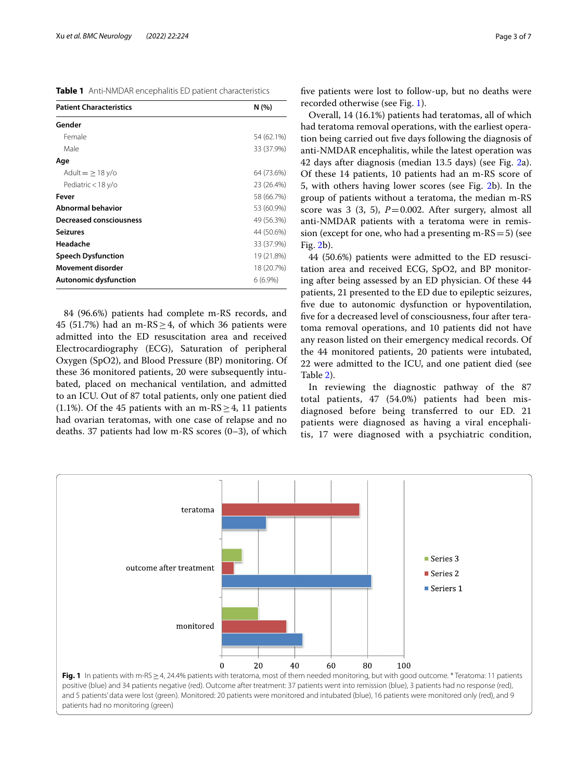<span id="page-2-0"></span>**Table 1** Anti-NMDAR encephalitis ED patient characteristics

| <b>Patient Characteristics</b> | N(%)       |
|--------------------------------|------------|
| Gender                         |            |
| Female                         | 54 (62.1%) |
| Male                           | 33 (37.9%) |
| Age                            |            |
| Adult $=$ $\geq$ 18 y/o        | 64 (73.6%) |
| Pediatric < 18 y/o             | 23 (26.4%) |
| Fever                          | 58 (66.7%) |
| <b>Abnormal behavior</b>       | 53 (60.9%) |
| <b>Decreased consciousness</b> | 49 (56.3%) |
| <b>Seizures</b>                | 44 (50.6%) |
| Headache                       | 33 (37.9%) |
| <b>Speech Dysfunction</b>      | 19 (21.8%) |
| Movement disorder              | 18 (20.7%) |
| Autonomic dysfunction          | $6(6.9\%)$ |

84 (96.6%) patients had complete m-RS records, and 45 (51.7%) had an m- $RS > 4$ , of which 36 patients were admitted into the ED resuscitation area and received Electrocardiography (ECG), Saturation of peripheral Oxygen (SpO2), and Blood Pressure (BP) monitoring. Of these 36 monitored patients, 20 were subsequently intubated, placed on mechanical ventilation, and admitted to an ICU. Out of 87 total patients, only one patient died (1.1%). Of the 45 patients with an m-RS  $\geq$  4, 11 patients had ovarian teratomas, with one case of relapse and no deaths. 37 patients had low m-RS scores (0–3), of which fve patients were lost to follow-up, but no deaths were recorded otherwise (see Fig. [1\)](#page-2-1).

Overall, 14 (16.1%) patients had teratomas, all of which had teratoma removal operations, with the earliest operation being carried out fve days following the diagnosis of anti-NMDAR encephalitis, while the latest operation was 42 days after diagnosis (median 13.5 days) (see Fig. [2a](#page-3-0)). Of these 14 patients, 10 patients had an m-RS score of 5, with others having lower scores (see Fig. [2](#page-3-0)b). In the group of patients without a teratoma, the median m-RS score was  $3$  ( $3$ ,  $5$ ),  $P=0.002$ . After surgery, almost all anti-NMDAR patients with a teratoma were in remission (except for one, who had a presenting m- $RS=5$ ) (see Fig. [2b](#page-3-0)).

44 (50.6%) patients were admitted to the ED resuscitation area and received ECG, SpO2, and BP monitoring after being assessed by an ED physician. Of these 44 patients, 21 presented to the ED due to epileptic seizures, fve due to autonomic dysfunction or hypoventilation, fve for a decreased level of consciousness, four after teratoma removal operations, and 10 patients did not have any reason listed on their emergency medical records. Of the 44 monitored patients, 20 patients were intubated, 22 were admitted to the ICU, and one patient died (see Table [2](#page-3-1)).

In reviewing the diagnostic pathway of the 87 total patients, 47 (54.0%) patients had been misdiagnosed before being transferred to our ED. 21 patients were diagnosed as having a viral encephalitis, 17 were diagnosed with a psychiatric condition,

<span id="page-2-1"></span>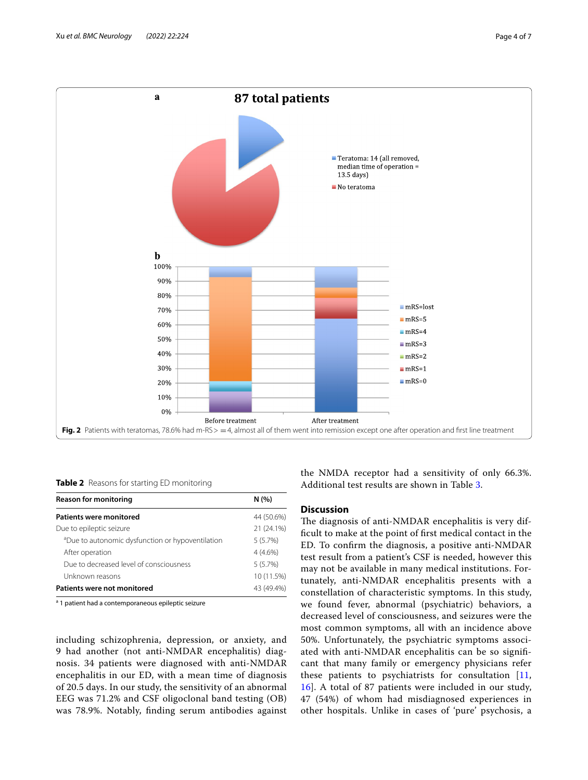

<span id="page-3-1"></span><span id="page-3-0"></span>**Table 2** Reasons for starting ED monitoring

| <b>Reason for monitoring</b>                                 | N(%)       |
|--------------------------------------------------------------|------------|
| <b>Patients were monitored</b>                               | 44 (50.6%) |
| Due to epileptic seizure                                     | 21 (24.1%) |
| <sup>a</sup> Due to autonomic dysfunction or hypoventilation | 5(5.7%)    |
| After operation                                              | $4(4.6\%)$ |
| Due to decreased level of consciousness                      | 5(5.7%)    |
| Unknown reasons                                              | 10 (11.5%) |
| Patients were not monitored                                  | 43 (49.4%) |

<sup>a</sup> 1 patient had a contemporaneous epileptic seizure

including schizophrenia, depression, or anxiety, and 9 had another (not anti-NMDAR encephalitis) diagnosis. 34 patients were diagnosed with anti-NMDAR encephalitis in our ED, with a mean time of diagnosis of 20.5 days. In our study, the sensitivity of an abnormal EEG was 71.2% and CSF oligoclonal band testing (OB) was 78.9%. Notably, fnding serum antibodies against

the NMDA receptor had a sensitivity of only 66.3%. Additional test results are shown in Table [3.](#page-4-0)

#### **Discussion**

The diagnosis of anti-NMDAR encephalitis is very diffcult to make at the point of frst medical contact in the ED. To confrm the diagnosis, a positive anti-NMDAR test result from a patient's CSF is needed, however this may not be available in many medical institutions. Fortunately, anti-NMDAR encephalitis presents with a constellation of characteristic symptoms. In this study, we found fever, abnormal (psychiatric) behaviors, a decreased level of consciousness, and seizures were the most common symptoms, all with an incidence above 50%. Unfortunately, the psychiatric symptoms associated with anti-NMDAR encephalitis can be so signifcant that many family or emergency physicians refer these patients to psychiatrists for consultation [\[11](#page-6-8), [16\]](#page-6-13). A total of 87 patients were included in our study, 47 (54%) of whom had misdiagnosed experiences in other hospitals. Unlike in cases of 'pure' psychosis, a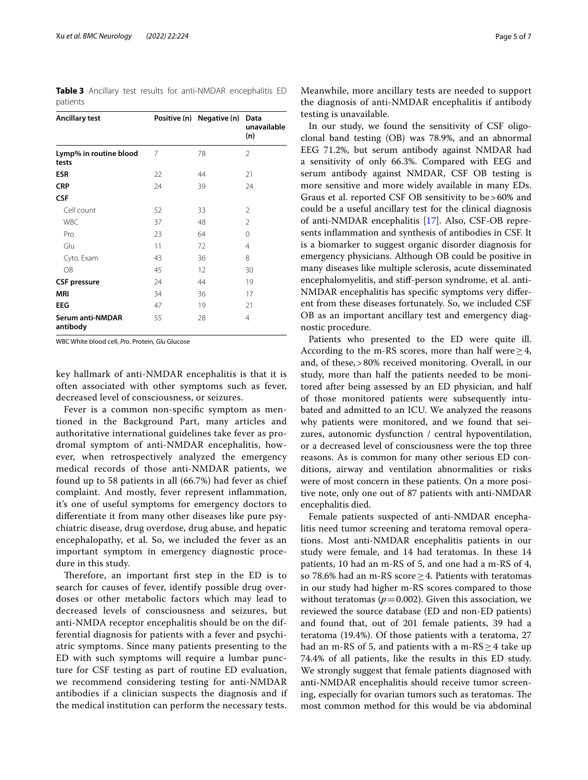<span id="page-4-0"></span>**Table 3** Ancillary test results for anti-NMDAR encephalitis ED patients

| <b>Ancillary test</b>               |    | Positive (n) Negative (n) Data | unavailable<br>(n) |
|-------------------------------------|----|--------------------------------|--------------------|
| Lymp% in routine blood<br>tests     | 7  | 78                             | 2                  |
| <b>ESR</b>                          | 22 | 44                             | 21                 |
| <b>CRP</b>                          | 24 | 39                             | 24                 |
| <b>CSF</b>                          |    |                                |                    |
| Cell count                          | 52 | 33                             | 2                  |
| <b>WBC</b>                          | 37 | 48                             | 2                  |
| Pro                                 | 23 | 64                             | 0                  |
| Glu                                 | 11 | 72                             | $\overline{4}$     |
| Cyto. Exam                          | 43 | 36                             | 8                  |
| OB                                  | 45 | 12                             | 30                 |
| <b>CSF</b> pressure                 | 24 | 44                             | 19                 |
| <b>MRI</b>                          | 34 | 36                             | 17                 |
| <b>EEG</b>                          | 47 | 19                             | 21                 |
| <b>Serum anti-NMDAR</b><br>antibody | 55 | 28                             | 4                  |

WBC White blood cell, *Pro*. Protein, *Glu* Glucose

key hallmark of anti-NMDAR encephalitis is that it is often associated with other symptoms such as fever, decreased level of consciousness, or seizures.

Fever is a common non-specifc symptom as mentioned in the Background Part, many articles and authoritative international guidelines take fever as prodromal symptom of anti-NMDAR encephalitis, however, when retrospectively analyzed the emergency medical records of those anti-NMDAR patients, we found up to 58 patients in all (66.7%) had fever as chief complaint. And mostly, fever represent infammation, it's one of useful symptoms for emergency doctors to diferentiate it from many other diseases like pure psychiatric disease, drug overdose, drug abuse, and hepatic encephalopathy, et al. So, we included the fever as an important symptom in emergency diagnostic procedure in this study.

Therefore, an important first step in the ED is to search for causes of fever, identify possible drug overdoses or other metabolic factors which may lead to decreased levels of consciousness and seizures, but anti-NMDA receptor encephalitis should be on the differential diagnosis for patients with a fever and psychiatric symptoms. Since many patients presenting to the ED with such symptoms will require a lumbar puncture for CSF testing as part of routine ED evaluation, we recommend considering testing for anti-NMDAR antibodies if a clinician suspects the diagnosis and if the medical institution can perform the necessary tests. Meanwhile, more ancillary tests are needed to support the diagnosis of anti-NMDAR encephalitis if antibody testing is unavailable.

In our study, we found the sensitivity of CSF oligoclonal band testing (OB) was 78.9%, and an abnormal EEG 71.2%, but serum antibody against NMDAR had a sensitivity of only 66.3%. Compared with EEG and serum antibody against NMDAR, CSF OB testing is more sensitive and more widely available in many EDs. Graus et al. reported CSF OB sensitivity to be>60% and could be a useful ancillary test for the clinical diagnosis of anti-NMDAR encephalitis [\[17\]](#page-6-14). Also, CSF-OB represents infammation and synthesis of antibodies in CSF. It is a biomarker to suggest organic disorder diagnosis for emergency physicians. Although OB could be positive in many diseases like multiple sclerosis, acute disseminated encephalomyelitis, and stif-person syndrome, et al. anti-NMDAR encephalitis has specifc symptoms very diferent from these diseases fortunately. So, we included CSF OB as an important ancillary test and emergency diagnostic procedure.

Patients who presented to the ED were quite ill. According to the m-RS scores, more than half were  $\geq 4$ , and, of these,>80% received monitoring. Overall, in our study, more than half the patients needed to be monitored after being assessed by an ED physician, and half of those monitored patients were subsequently intubated and admitted to an ICU. We analyzed the reasons why patients were monitored, and we found that seizures, autonomic dysfunction / central hypoventilation, or a decreased level of consciousness were the top three reasons. As is common for many other serious ED conditions, airway and ventilation abnormalities or risks were of most concern in these patients. On a more positive note, only one out of 87 patients with anti-NMDAR encephalitis died.

Female patients suspected of anti-NMDAR encephalitis need tumor screening and teratoma removal operations. Most anti-NMDAR encephalitis patients in our study were female, and 14 had teratomas. In these 14 patients, 10 had an m-RS of 5, and one had a m-RS of 4, so 78.6% had an m-RS score  $\geq$  4. Patients with teratomas in our study had higher m-RS scores compared to those without teratomas ( $p = 0.002$ ). Given this association, we reviewed the source database (ED and non-ED patients) and found that, out of 201 female patients, 39 had a teratoma (19.4%). Of those patients with a teratoma, 27 had an m-RS of 5, and patients with a m-RS $>4$  take up 74.4% of all patients, like the results in this ED study. We strongly suggest that female patients diagnosed with anti-NMDAR encephalitis should receive tumor screening, especially for ovarian tumors such as teratomas. The most common method for this would be via abdominal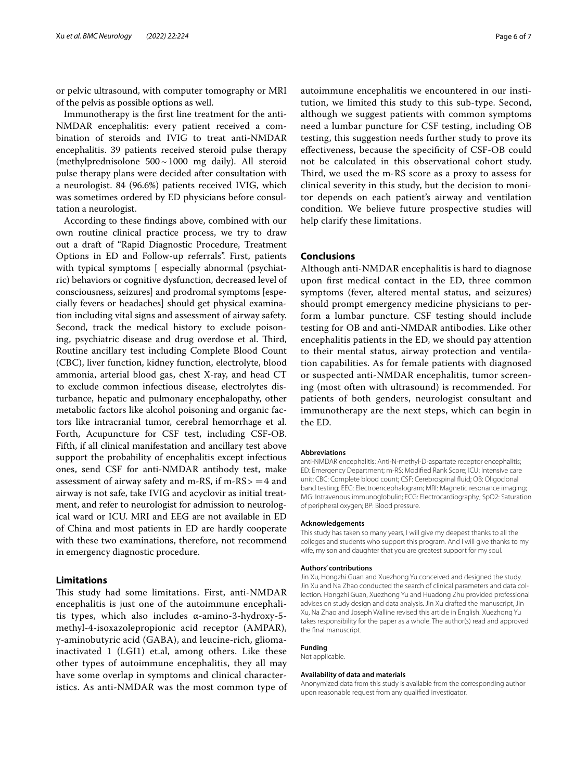or pelvic ultrasound, with computer tomography or MRI of the pelvis as possible options as well.

Immunotherapy is the frst line treatment for the anti-NMDAR encephalitis: every patient received a combination of steroids and IVIG to treat anti-NMDAR encephalitis. 39 patients received steroid pulse therapy (methylprednisolone 500~1000 mg daily). All steroid pulse therapy plans were decided after consultation with a neurologist. 84 (96.6%) patients received IVIG, which was sometimes ordered by ED physicians before consultation a neurologist.

According to these fndings above, combined with our own routine clinical practice process, we try to draw out a draft of "Rapid Diagnostic Procedure, Treatment Options in ED and Follow-up referrals". First, patients with typical symptoms [ especially abnormal (psychiatric) behaviors or cognitive dysfunction, decreased level of consciousness, seizures] and prodromal symptoms [especially fevers or headaches] should get physical examination including vital signs and assessment of airway safety. Second, track the medical history to exclude poisoning, psychiatric disease and drug overdose et al. Third, Routine ancillary test including Complete Blood Count (CBC), liver function, kidney function, electrolyte, blood ammonia, arterial blood gas, chest X-ray, and head CT to exclude common infectious disease, electrolytes disturbance, hepatic and pulmonary encephalopathy, other metabolic factors like alcohol poisoning and organic factors like intracranial tumor, cerebral hemorrhage et al. Forth, Acupuncture for CSF test, including CSF-OB. Fifth, if all clinical manifestation and ancillary test above support the probability of encephalitis except infectious ones, send CSF for anti-NMDAR antibody test, make assessment of airway safety and m-RS, if m-RS $> = 4$  and airway is not safe, take IVIG and acyclovir as initial treatment, and refer to neurologist for admission to neurological ward or ICU. MRI and EEG are not available in ED of China and most patients in ED are hardly cooperate with these two examinations, therefore, not recommend in emergency diagnostic procedure.

#### **Limitations**

This study had some limitations. First, anti-NMDAR encephalitis is just one of the autoimmune encephalitis types, which also includes α-amino-3-hydroxy-5 methyl-4-isoxazolepropionic acid receptor (AMPAR), γ-aminobutyric acid (GABA), and leucine-rich, gliomainactivated 1 (LGI1) et.al, among others. Like these other types of autoimmune encephalitis, they all may have some overlap in symptoms and clinical characteristics. As anti-NMDAR was the most common type of autoimmune encephalitis we encountered in our institution, we limited this study to this sub-type. Second, although we suggest patients with common symptoms need a lumbar puncture for CSF testing, including OB testing, this suggestion needs further study to prove its efectiveness, because the specifcity of CSF-OB could not be calculated in this observational cohort study. Third, we used the m-RS score as a proxy to assess for clinical severity in this study, but the decision to monitor depends on each patient's airway and ventilation condition. We believe future prospective studies will help clarify these limitations.

#### **Conclusions**

Although anti-NMDAR encephalitis is hard to diagnose upon frst medical contact in the ED, three common symptoms (fever, altered mental status, and seizures) should prompt emergency medicine physicians to perform a lumbar puncture. CSF testing should include testing for OB and anti-NMDAR antibodies. Like other encephalitis patients in the ED, we should pay attention to their mental status, airway protection and ventilation capabilities. As for female patients with diagnosed or suspected anti-NMDAR encephalitis, tumor screening (most often with ultrasound) is recommended. For patients of both genders, neurologist consultant and immunotherapy are the next steps, which can begin in the ED.

#### **Abbreviations**

anti-NMDAR encephalitis: Anti-N-methyl-D-aspartate receptor encephalitis; ED: Emergency Department; m-RS: Modifed Rank Score; ICU: Intensive care unit; CBC: Complete blood count; CSF: Cerebrospinal fuid; OB: Oligoclonal band testing; EEG: Electroencephalogram; MRI: Magnetic resonance imaging; IVIG: Intravenous immunoglobulin; ECG: Electrocardiography; SpO2: Saturation of peripheral oxygen; BP: Blood pressure.

#### **Acknowledgements**

This study has taken so many years, I will give my deepest thanks to all the colleges and students who support this program. And I will give thanks to my wife, my son and daughter that you are greatest support for my soul.

#### **Authors' contributions**

Jin Xu, Hongzhi Guan and Xuezhong Yu conceived and designed the study. Jin Xu and Na Zhao conducted the search of clinical parameters and data collection. Hongzhi Guan, Xuezhong Yu and Huadong Zhu provided professional advises on study design and data analysis. Jin Xu drafted the manuscript, Jin Xu, Na Zhao and Joseph Walline revised this article in English. Xuezhong Yu takes responsibility for the paper as a whole. The author(s) read and approved the fnal manuscript.

#### **Funding**

Not applicable.

#### **Availability of data and materials**

Anonymized data from this study is available from the corresponding author upon reasonable request from any qualifed investigator.